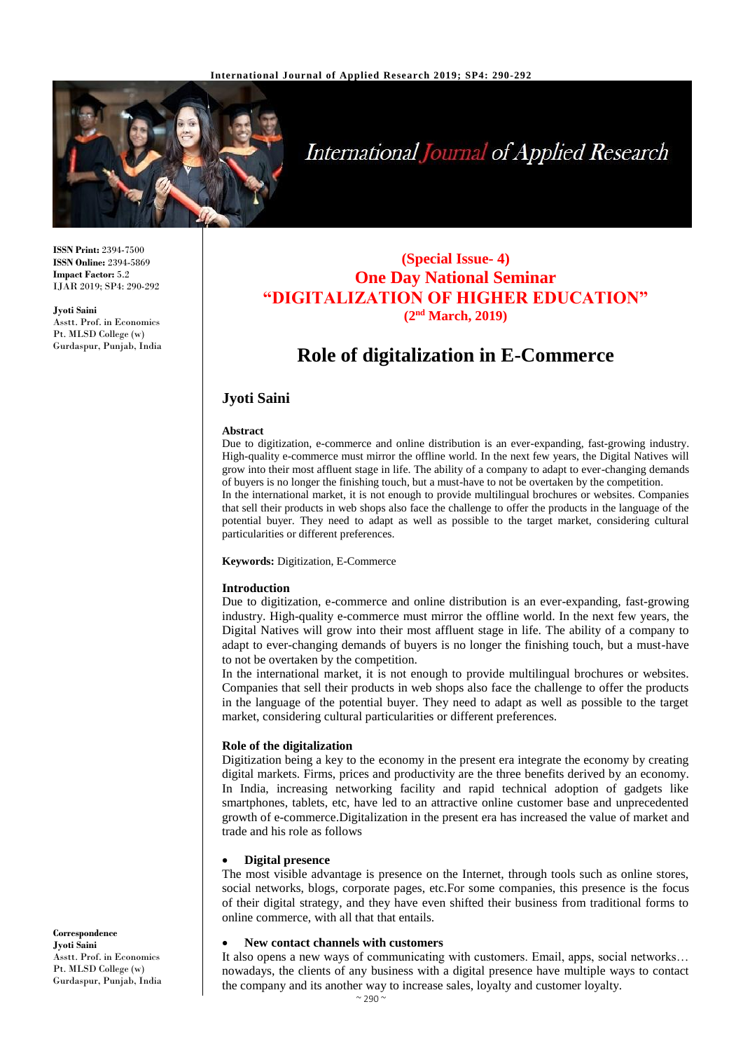

# International Journal of Applied Research

**ISSN Print:** 2394-7500 **ISSN Online:** 2394-5869 **Impact Factor:** 5.2 IJAR 2019; SP4: 290-292

**Jyoti Saini** Asstt. Prof. in Economics Pt. MLSD College (w) Gurdaspur, Punjab, India

### **(Special Issue- 4) One Day National Seminar "DIGITALIZATION OF HIGHER EDUCATION" (2nd March, 2019)**

## **Role of digitalization in E-Commerce**

#### **Jyoti Saini**

#### **Abstract**

Due to digitization, e-commerce and online distribution is an ever-expanding, fast-growing industry. High-quality e-commerce must mirror the offline world. In the next few years, the Digital Natives will grow into their most affluent stage in life. The ability of a company to adapt to ever-changing demands of buyers is no longer the finishing touch, but a must-have to not be overtaken by the competition. In the international market, it is not enough to provide multilingual brochures or websites. Companies that sell their products in web shops also face the challenge to offer the products in the language of the potential buyer. They need to adapt as well as possible to the target market, considering cultural particularities or different preferences.

#### **Keywords:** Digitization, E-Commerce

#### **Introduction**

Due to digitization, e-commerce and online distribution is an ever-expanding, fast-growing industry. High-quality e-commerce must mirror the offline world. In the next few years, the Digital Natives will grow into their most affluent stage in life. The ability of a company to adapt to ever-changing demands of buyers is no longer the finishing touch, but a must-have to not be overtaken by the competition.

In the international market, it is not enough to provide multilingual brochures or websites. Companies that sell their products in web shops also face the challenge to offer the products in the language of the potential buyer. They need to adapt as well as possible to the target market, considering cultural particularities or different preferences.

#### **Role of the digitalization**

Digitization being a key to the economy in the present era integrate the economy by creating digital markets. Firms, prices and productivity are the three benefits derived by an economy. In India, increasing networking facility and rapid technical adoption of gadgets like smartphones, tablets, etc, have led to an attractive online customer base and unprecedented growth of e-commerce.Digitalization in the present era has increased the value of market and trade and his role as follows

#### **Digital presence**

The most visible advantage is presence on the Internet, through tools such as online stores, social networks, blogs, corporate pages, etc.For some companies, this presence is the focus of their digital strategy, and they have even shifted their business from traditional forms to online commerce, with all that that entails.

#### **New contact channels with customers**

It also opens a new ways of communicating with customers. Email, apps, social networks… nowadays, the clients of any business with a digital presence have multiple ways to contact the company and its another way to increase sales, loyalty and customer loyalty.

**Correspondence Jyoti Saini** Asstt. Prof. in Economics Pt. MLSD College (w) Gurdaspur, Punjab, India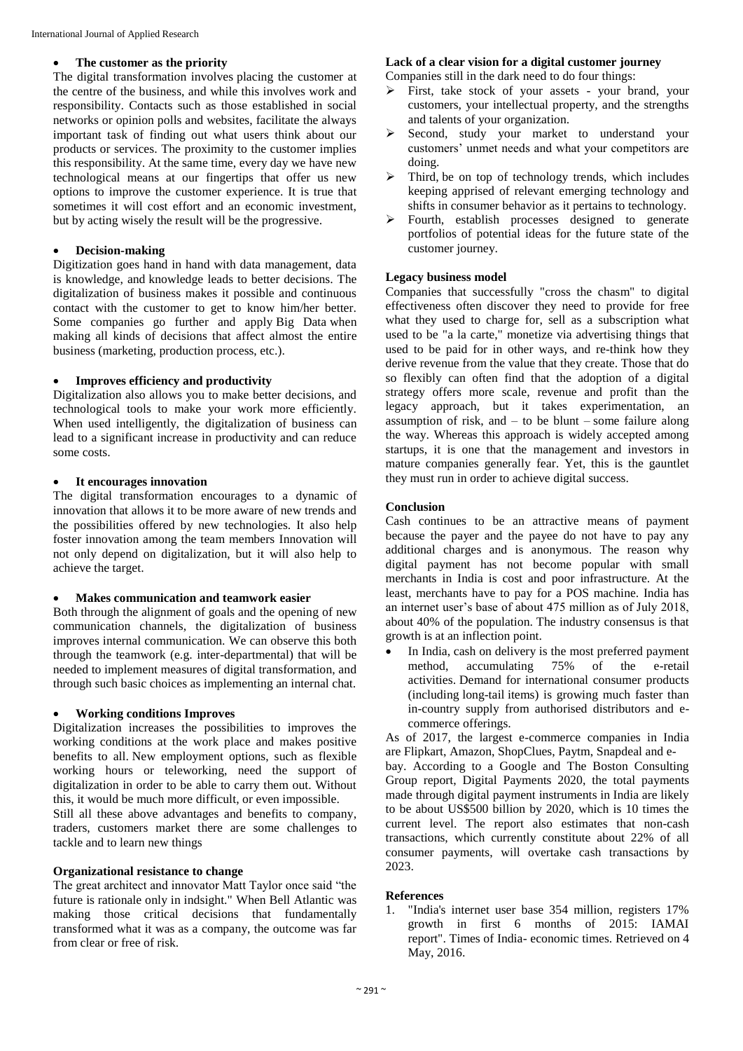#### **The customer as the priority**

The digital transformation involves placing the customer at the centre of the business, and while this involves work and responsibility. Contacts such as those established in social networks or opinion polls and websites, facilitate the always important task of finding out what users think about our products or services. The proximity to the customer implies this responsibility. At the same time, every day we have new technological means at our fingertips that offer us new options to improve the customer experience. It is true that sometimes it will cost effort and an economic investment, but by acting wisely the result will be the progressive.

#### **Decision-making**

Digitization goes hand in hand with data management, data is knowledge, and knowledge leads to better decisions. The digitalization of business makes it possible and continuous contact with the customer to get to know him/her better. Some companies go further and apply Big Data when making all kinds of decisions that affect almost the entire business (marketing, production process, etc.).

#### **Improves efficiency and productivity**

Digitalization also allows you to make better decisions, and technological tools to make your work more efficiently. When used intelligently, the digitalization of business can lead to a significant increase in productivity and can reduce some costs.

#### **It encourages innovation**

The digital transformation encourages to a dynamic of innovation that allows it to be more aware of new trends and the possibilities offered by new technologies. It also help foster innovation among the team members Innovation will not only depend on digitalization, but it will also help to achieve the target.

#### **Makes communication and teamwork easier**

Both through the alignment of goals and the opening of new communication channels, the digitalization of business improves internal communication. We can observe this both through the teamwork (e.g. inter-departmental) that will be needed to implement measures of digital transformation, and through such basic choices as implementing an internal chat.

#### **Working conditions Improves**

Digitalization increases the possibilities to improves the working conditions at the work place and makes positive benefits to all. New employment options, such as flexible working hours or teleworking, need the support of digitalization in order to be able to carry them out. Without this, it would be much more difficult, or even impossible.

Still all these above advantages and benefits to company, traders, customers market there are some challenges to tackle and to learn new things

#### **Organizational resistance to change**

The great architect and innovator Matt Taylor once said "the future is rationale only in indsight." When Bell Atlantic was making those critical decisions that fundamentally transformed what it was as a company, the outcome was far from clear or free of risk.

#### **Lack of a clear vision for a digital customer journey**

Companies still in the dark need to do four things:

- First, take stock of your assets your brand, your customers, your intellectual property, and the strengths and talents of your organization.
- Second, study your market to understand your customers' unmet needs and what your competitors are doing.
- $\triangleright$  Third, be on top of technology trends, which includes keeping apprised of relevant emerging technology and shifts in consumer behavior as it pertains to technology.
- > Fourth, establish processes designed to generate portfolios of potential ideas for the future state of the customer journey.

#### **Legacy business model**

Companies that successfully "cross the chasm" to digital effectiveness often discover they need to provide for free what they used to charge for, sell as a subscription what used to be "a la carte," monetize via advertising things that used to be paid for in other ways, and re-think how they derive revenue from the value that they create. Those that do so flexibly can often find that the adoption of a digital strategy offers more scale, revenue and profit than the legacy approach, but it takes experimentation, an assumption of risk, and  $-$  to be blunt  $-$  some failure along the way. Whereas this approach is widely accepted among startups, it is one that the management and investors in mature companies generally fear. Yet, this is the gauntlet they must run in order to achieve digital success.

#### **Conclusion**

Cash continues to be an attractive means of payment because the payer and the payee do not have to pay any additional charges and is anonymous. The reason why digital payment has not become popular with small merchants in India is cost and poor infrastructure. At the least, merchants have to pay for a POS machine. India has an internet user's base of about 475 million as of July 2018, about 40% of the population. The industry consensus is that growth is at an inflection point.

• In India, cash on delivery is the most preferred payment method, accumulating 75% of the e-retail activities. Demand for international consumer products (including long-tail items) is growing much faster than in-country supply from authorised distributors and ecommerce offerings.

As of 2017, the largest e-commerce companies in India are Flipkart, Amazon, ShopClues, Paytm, Snapdeal and e-

bay. According to a Google and The Boston Consulting Group report, Digital Payments 2020, the total payments made through digital payment instruments in India are likely to be about US\$500 billion by 2020, which is 10 times the current level. The report also estimates that non-cash transactions, which currently constitute about 22% of all consumer payments, will overtake cash transactions by 2023.

#### **References**

1. "India's internet user base 354 million, registers 17% growth in first 6 months of 2015: IAMAI report". Times of India- economic times. Retrieved on 4 May, 2016.